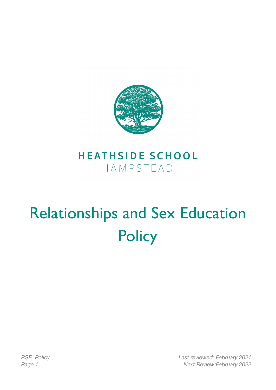

# **HEATHSIDE SCHOOL** HAMPSTEAD

# Relationships and Sex Education **Policy**

*RSE Policy Last reviewed: February 2021 Page 1 Next Review:February 2022*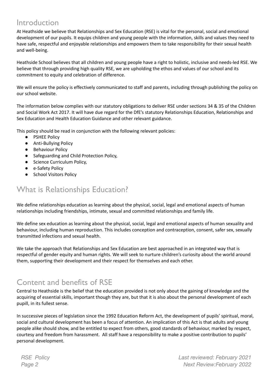#### Introduction

At Heathside we believe that Relationships and Sex Education (RSE) is vital for the personal, social and emotional development of our pupils. It equips children and young people with the information, skills and values they need to have safe, respectful and enjoyable relationships and empowers them to take responsibility for their sexual health and well-being.

Heathside School believes that all children and young people have a right to holistic, inclusive and needs-led RSE. We believe that through providing high quality RSE, we are upholding the ethos and values of our school and its commitment to equity and celebration of difference.

We will ensure the policy is effectively communicated to staff and parents, including through publishing the policy on our school website.

The information below complies with our statutory obligations to deliver RSE under sections 34 & 35 of the Children and Social Work Act 2017. It will have due regard for the DfE's statutory Relationships Education, Relationships and Sex Education and Health Education Guidance and other relevant guidance.

This policy should be read in conjunction with the following relevant policies:

- PSHEE Policy
- Anti-Bullying Policy
- Behaviour Policy
- Safeguarding and Child Protection Policy,
- Science Curriculum Policy,
- e-Safety Policy
- School Visitors Policy

### What is Relationships Education?

We define relationships education as learning about the physical, social, legal and emotional aspects of human relationships including friendships, intimate, sexual and committed relationships and family life.

We define sex education as learning about the physical, social, legal and emotional aspects of human sexuality and behaviour, including human reproduction. This includes conception and contraception, consent, safer sex, sexually transmitted infections and sexual health.

We take the approach that Relationships and Sex Education are best approached in an integrated way that is respectful of gender equity and human rights. We will seek to nurture children's curiosity about the world around them, supporting their development and their respect for themselves and each other.

#### Content and benefits of RSE

Central to Heathside is the belief that the education provided is not only about the gaining of knowledge and the acquiring of essential skills, important though they are, but that it is also about the personal development of each pupill, in its fullest sense.

In successive pieces of legislation since the 1992 Education Reform Act, the development of pupils' spiritual, moral, social and cultural development has been a focus of attention. An implication of this Act is that adults and young people alike should show, and be entitled to expect from others, good standards of behaviour, marked by respect, courtesy and freedom from harassment. All staff have a responsibility to make a positive contribution to pupils' personal development.

*RSE Policy Last reviewed: February 2021 Page 2 Next Review:February 2022*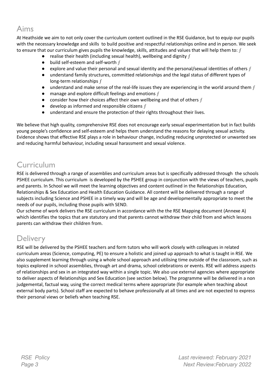# Aims

At Heathside we aim to not only cover the curriculum content outlined in the RSE Guidance, but to equip our pupils with the necessary knowledge and skills to build positive and respectful relationships online and in person. We seek to ensure that our curriculum gives pupils the knowledge, skills, attitudes and values that will help them to:  $f$ 

- realise their health (including sexual health), wellbeing and dignity  $f$
- $\bullet$  build self-esteem and self-worth f
- $\bullet$  explore and value their personal and sexual identity and the personal/sexual identities of others f
- understand family structures, committed relationships and the legal status of different types of long-term relationships f
- $\bullet$  understand and make sense of the real-life issues they are experiencing in the world around them f
- $\bullet$  manage and explore difficult feelings and emotions  $f$
- consider how their choices affect their own wellbeing and that of others  $f$
- $\bullet$  develop as informed and responsible citizens  $f$
- understand and ensure the protection of their rights throughout their lives.

We believe that high quality, comprehensive RSE does not encourage early sexual experimentation but in fact builds young people's confidence and self-esteem and helps them understand the reasons for delaying sexual activity. Evidence shows that effective RSE plays a role in behaviour change, including reducing unprotected or unwanted sex and reducing harmful behaviour, including sexual harassment and sexual violence.

#### Curriculum

RSE is delivered through a range of assemblies and curriculum areas but is specifically addressed through the schools PSHEE curriculum. This curriculum is developed by the PSHEE group in conjunction with the views of teachers, pupils and parents. In School we will meet the learning objectives and content outlined in the Relationships Education, Relationships & Sex Education and Health Education Guidance. All content will be delivered through a range of subjects including Science and PSHEE in a timely way and will be age and developmentally appropriate to meet the needs of our pupils, including those pupils with SEND.

Our scheme of work delivers the RSE curriculum in accordance with the the RSE Mapping document (Annexe A) which identifies the topics that are statutory and that parents cannot withdraw their child from and which lessons parents can withdraw their children from.

#### **Delivery**

RSE will be delivered by the PSHEE teachers and form tutors who will work closely with colleagues in related curriculum areas (Science, computing, PE) to ensure a holistic and joined up approach to what is taught in RSE. We also supplement learning through using a whole school approach and utilising time outside of the classroom, such as topics explored in school assemblies, through art and drama, school celebrations or events. RSE will address aspects of relationships and sex in an integrated way within a single topic. We also use external agencies where appropriate to deliver aspects of Relationships and Sex Education (see section below). The programme will be delivered in a non judgemental, factual way, using the correct medical terms where appropriate (for example when teaching about external body parts). School staff are expected to behave professionally at all times and are not expected to express their personal views or beliefs when teaching RSE.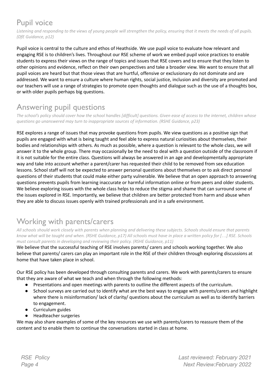# Pupil voice

Listening and responding to the views of young people will strengthen the policy, ensuring that it meets the needs of all pupils. *(DfE Guidance, p12)*

Pupil voice is central to the culture and ethos of Heathside. We use pupil voice to evaluate how relevant and engaging RSE is to children's lives. Throughout our RSE scheme of work we embed pupil voice practices to enable students to express their views on the range of topics and issues that RSE covers and to ensure that they listen to other opinions and evidence, reflect on their own perspectives and take a broader view. We want to ensure that all pupil voices are heard but that those views that are hurtful, offensive or exclusionary do not dominate and are addressed. We want to ensure a culture where human rights, social justice, inclusion and diversity are promoted and our teachers will use a range of strategies to promote open thoughts and dialogue such as the use of a thoughts box, or with older pupils perhaps big questions.

# Answering pupil questions

The school's policy should cover how the school handles [difficult] questions. Given ease of access to the internet, children whose *questions go unanswered may turn to inappropriate sources of information. (RSHE Guidance, p23)*

RSE explores a range of issues that may provoke questions from pupils. We view questions as a positive sign that pupils are engaged with what is being taught and feel able to express natural curiosities about themselves, their bodies and relationships with others. As much as possible, where a question is relevant to the whole class, we will answer it to the whole group. There may occasionally be the need to deal with a question outside of the classroom if it is not suitable for the entire class. Questions will always be answered in an age and developmentally appropriate way and take into account whether a parent/carer has requested their child to be removed from sex education lessons. School staff will not be expected to answer personal questions about themselves or to ask direct personal questions of their students that could make either party vulnerable. We believe that an open approach to answering questions prevents pupils from learning inaccurate or harmful information online or from peers and older students. We believe exploring issues with the whole class helps to reduce the stigma and shame that can surround some of the issues explored in RSE. Importantly, we believe that children are better protected from harm and abuse when they are able to discuss issues openly with trained professionals and in a safe environment.

#### Working with parents/carers

All schools should work closely with parents when planning and delivering these subjects. Schools should ensure that parents know what will be taught and when. (RSHE Guidance, p17) All schools must have in place a written policy for [...] RSE. Schools *must consult parents in developing and reviewing their policy. (RSHE Guidance, p11)*

We believe that the successful teaching of RSE involves parents/ carers and schools working together. We also believe that parents/ carers can play an important role in the RSE of their children through exploring discussions at home that have taken place in school.

Our RSE policy has been developed through consulting parents and carers. We work with parents/carers to ensure that they are aware of what we teach and when through the following methods:

- Presentations and open meetings with parents to outline the different aspects of the curriculum.
- School surveys are carried out to identify what are the best ways to engage with parents/carers and highlight where there is misinformation/ lack of clarity/ questions about the curriculum as well as to identify barriers to engagement.
- Curriculum guides
- Headteacher surgeries

We may also share examples of some of the key resources we use with parents/carers to reassure them of the content and to enable them to continue the conversations started in class at home.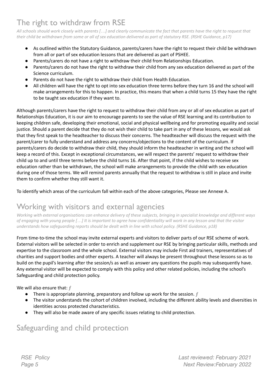# The right to withdraw from RSE

All schools should work closely with parents [...] and clearly communicate the fact that parents have the right to request that their child be withdrawn from some or all of sex education delivered as part of statutory RSE. (RSHE Guidance, p17)

- As outlined within the Statutory Guidance, parents/carers have the right to request their child be withdrawn from all or part of sex education lessons that are delivered as part of PSHEE.
- Parents/carers do not have a right to withdraw their child from Relationships Education.
- Parents/carers do not have the right to withdraw their child from any sex education delivered as part of the Science curriculum.
- Parents do not have the right to withdraw their child from Health Education.
- All children will have the right to opt into sex education three terms before they turn 16 and the school will make arrangements for this to happen. In practice, this means that when a child turns 15 they have the right to be taught sex education if they want to.

Although parents/carers have the right to request to withdraw their child from any or all of sex education as part of Relationships Education, it is our aim to encourage parents to see the value of RSE learning and its contribution to keeping children safe, developing their emotional, social and physical wellbeing and for promoting equality and social justice. Should a parent decide that they do not wish their child to take part in any of these lessons, we would ask that they first speak to the headteacher to discuss their concerns. The headteacher will discuss the request with the parent/carer to fully understand and address any concerns/objections to the content of the curriculum. If parents/carers do decide to withdraw their child, they should inform the headteacher in writing and the school will keep a record of this. Except in exceptional circumstances, we will respect the parents' request to withdraw their child up to and until three terms before the child turns 16. After that point, if the child wishes to receive sex education rather than be withdrawn, the school will make arrangements to provide the child with sex education during one of those terms. We will remind parents annually that the request to withdraw is still in place and invite them to confirm whether they still want it.

To identify which areas of the curriculum fall within each of the above categories, Please see Annexe A.

#### Working with visitors and external agencies

Working with external organisations can enhance delivery of these subjects, bringing in specialist knowledge and different ways of engaging with young people [...] It is important to agree how confidentiality will work in any lesson and that the visitor *understands how safeguarding reports should be dealt with in line with school policy. (RSHE Guidance, p18)*

From time-to-time the school may invite external experts and visitors to deliver parts of our RSE scheme of work. External visitors will be selected in order to enrich and supplement our RSE by bringing particular skills, methods and expertise to the classroom and the whole school. External visitors may include First aid trainers, representatives of charities and support bodies and other experts. A teacher will always be present throughout these lessons so as to build on the pupil's learning after the session/s as well as answer any questions the pupils may subsequently have. Any external visitor will be expected to comply with this policy and other related policies, including the school's Safeguarding and child protection policy.

We will also ensure that:  $f$ 

- There is appropriate planning, preparatory and follow up work for the session.  $f$
- The visitor understands the cohort of children involved, including the different ability levels and diversities in identities across protected characteristics.
- They will also be made aware of any specific issues relating to child protection.

#### Safeguarding and child protection